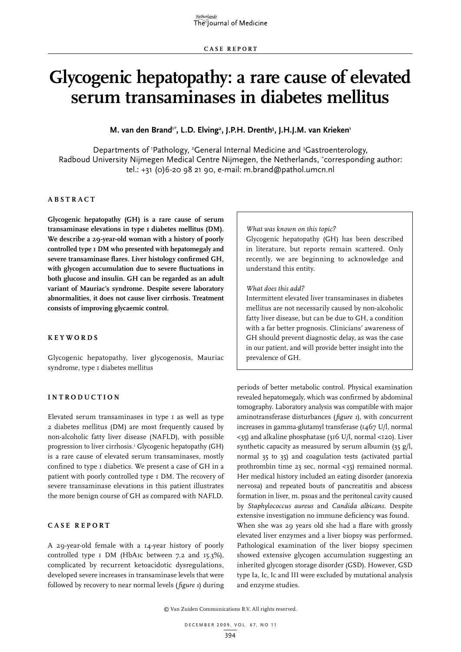# **Glycogenic hepatopathy: a rare cause of elevated serum transaminases in diabetes mellitus**

# M. van den Brand<sup>1\*</sup>, L.D. Elving<sup>2</sup>, J.P.H. Drenth<sup>3</sup>, J.H.J.M. van Krieken<sup>1</sup>

Departments of 'Pathology, <sup>2</sup>General Internal Medicine and <sup>3</sup>Gastroenterology, Radboud University Nijmegen Medical Centre Nijmegen, the Netherlands, \* corresponding author: tel.: +31 (0)6-20 98 21 90, e-mail: m.brand@pathol.umcn.nl

# **A bstra c t**

**Glycogenic hepatopathy (GH) is a rare cause of serum transaminase elevations in type 1 diabetes mellitus (DM). We describe a 29-year-old woman with a history of poorly controlled type 1 DM who presented with hepatomegaly and severe transaminase flares. Liver histology confirmed GH, with glycogen accumulation due to severe fluctuations in both glucose and insulin. GH can be regarded as an adult variant of Mauriac's syndrome. Despite severe laboratory abnormalities, it does not cause liver cirrhosis. Treatment consists of improving glycaemic control.**

## **Keywords**

Glycogenic hepatopathy, liver glycogenosis, Mauriac syndrome, type I diabetes mellitus

# **I ntrodu c tion**

Elevated serum transaminases in type 1 as well as type 2 diabetes mellitus (DM) are most frequently caused by non-alcoholic fatty liver disease (NAFLD), with possible progression to liver cirrhosis.<sup>1</sup> Glycogenic hepatopathy (GH) is a rare cause of elevated serum transaminases, mostly confined to type 1 diabetics. We present a case of GH in a patient with poorly controlled type 1 DM. The recovery of severe transaminase elevations in this patient illustrates the more benign course of GH as compared with NAFLD.

# **Case report**

A 29-year-old female with a 14-year history of poorly controlled type 1 DM (HbA1c between 7.2 and 15.3%), complicated by recurrent ketoacidotic dysregulations, developed severe increases in transaminase levels that were followed by recovery to near normal levels (*figure 1*) during

#### *What was known on this topic?*

Glycogenic hepatopathy (GH) has been described in literature, but reports remain scattered. Only recently, we are beginning to acknowledge and understand this entity.

#### *What does this add?*

Intermittent elevated liver transaminases in diabetes mellitus are not necessarily caused by non-alcoholic fatty liver disease, but can be due to GH, a condition with a far better prognosis. Clinicians' awareness of GH should prevent diagnostic delay, as was the case in our patient, and will provide better insight into the prevalence of GH.

periods of better metabolic control. Physical examination revealed hepatomegaly, which was confirmed by abdominal tomography. Laboratory analysis was compatible with major aminotransferase disturbances (*figure 1*), with concurrent increases in gamma-glutamyl transferase (1467 U/l, normal <35) and alkaline phosphatase (316 U/l, normal <120). Liver synthetic capacity as measured by serum albumin (35 g/l, normal 35 to 35) and coagulation tests (activated partial prothrombin time 23 sec, normal <35) remained normal. Her medical history included an eating disorder (anorexia nervosa) and repeated bouts of pancreatitis and abscess formation in liver, m. psoas and the peritoneal cavity caused by *Staphylococcus aureus* and *Candida albicans*. Despite extensive investigation no immune deficiency was found. When she was 29 years old she had a flare with grossly elevated liver enzymes and a liver biopsy was performed. Pathological examination of the liver biopsy specimen showed extensive glycogen accumulation suggesting an inherited glycogen storage disorder (GSD). However, GSD type Ia, Ic, Ic and III were excluded by mutational analysis and enzyme studies.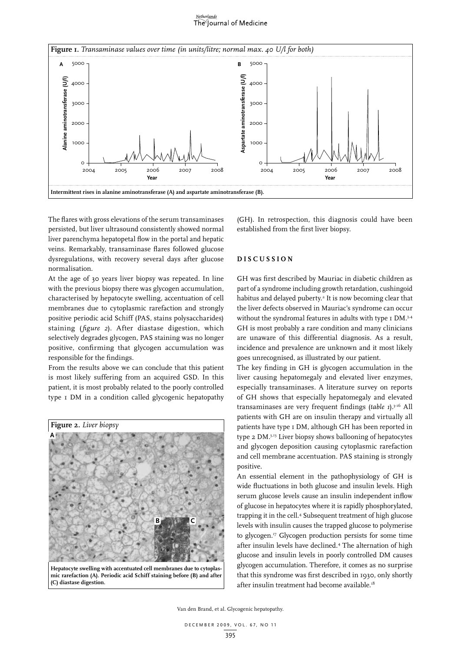# The Journal of Medicine



The flares with gross elevations of the serum transaminases persisted, but liver ultrasound consistently showed normal liver parenchyma hepatopetal flow in the portal and hepatic veins. Remarkably, transaminase flares followed glucose dysregulations, with recovery several days after glucose normalisation.

At the age of 30 years liver biopsy was repeated. In line with the previous biopsy there was glycogen accumulation, characterised by hepatocyte swelling, accentuation of cell membranes due to cytoplasmic rarefaction and strongly positive periodic acid Schiff (PAS, stains polysaccharides) staining (*figure 2*). After diastase digestion, which selectively degrades glycogen, PAS staining was no longer positive, confirming that glycogen accumulation was responsible for the findings.

From the results above we can conclude that this patient is most likely suffering from an acquired GSD. In this patient, it is most probably related to the poorly controlled type 1 DM in a condition called glycogenic hepatopathy



**Hepatocyte swelling with accentuated cell membranes due to cytoplasmic rarefaction (A). Periodic acid Schiff staining before (B) and after (C) diastase digestion.**

(GH). In retrospection, this diagnosis could have been established from the first liver biopsy.

# **D i s c ussion**

GH was first described by Mauriac in diabetic children as part of a syndrome including growth retardation, cushingoid habitus and delayed puberty.<sup>2</sup> It is now becoming clear that the liver defects observed in Mauriac's syndrome can occur without the syndromal features in adults with type I DM.<sup>3,4</sup> GH is most probably a rare condition and many clinicians are unaware of this differential diagnosis. As a result, incidence and prevalence are unknown and it most likely goes unrecognised, as illustrated by our patient.

The key finding in GH is glycogen accumulation in the liver causing hepatomegaly and elevated liver enzymes, especially transaminases. A literature survey on reports of GH shows that especially hepatomegaly and elevated transaminases are very frequent findings (*table 1*).3-16 All patients with GH are on insulin therapy and virtually all patients have type 1 DM, although GH has been reported in type 2 DM.3,13 Liver biopsy shows ballooning of hepatocytes and glycogen deposition causing cytoplasmic rarefaction and cell membrane accentuation. PAS staining is strongly positive.

An essential element in the pathophysiology of GH is wide fluctuations in both glucose and insulin levels. High serum glucose levels cause an insulin independent inflow of glucose in hepatocytes where it is rapidly phosphorylated, trapping it in the cell.4 Subsequent treatment of high glucose levels with insulin causes the trapped glucose to polymerise to glycogen.17 Glycogen production persists for some time after insulin levels have declined.4 The alternation of high glucose and insulin levels in poorly controlled DM causes glycogen accumulation. Therefore, it comes as no surprise that this syndrome was first described in 1930, only shortly after insulin treatment had become available.<sup>18</sup>

Van den Brand, et al. Glycogenic hepatopathy.